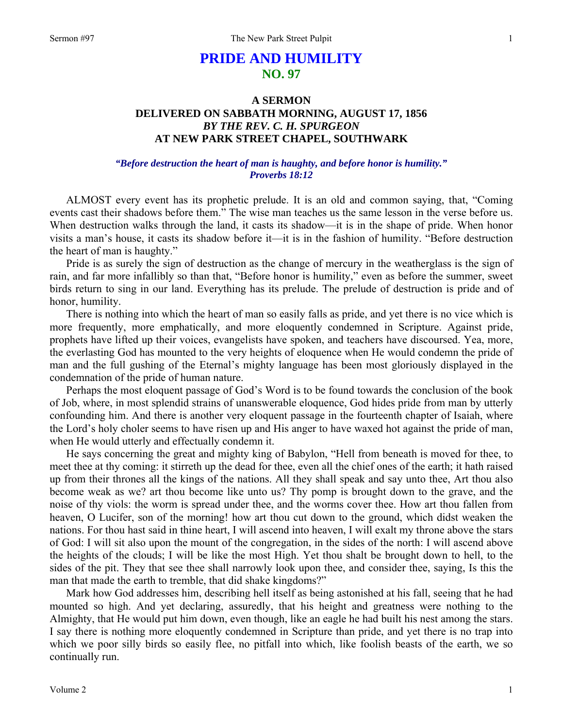# **PRIDE AND HUMILITY NO. 97**

## **A SERMON DELIVERED ON SABBATH MORNING, AUGUST 17, 1856**  *BY THE REV. C. H. SPURGEON*  **AT NEW PARK STREET CHAPEL, SOUTHWARK**

### *"Before destruction the heart of man is haughty, and before honor is humility." Proverbs 18:12*

ALMOST every event has its prophetic prelude. It is an old and common saying, that, "Coming events cast their shadows before them." The wise man teaches us the same lesson in the verse before us. When destruction walks through the land, it casts its shadow—it is in the shape of pride. When honor visits a man's house, it casts its shadow before it—it is in the fashion of humility. "Before destruction the heart of man is haughty."

Pride is as surely the sign of destruction as the change of mercury in the weatherglass is the sign of rain, and far more infallibly so than that, "Before honor is humility," even as before the summer, sweet birds return to sing in our land. Everything has its prelude. The prelude of destruction is pride and of honor, humility.

There is nothing into which the heart of man so easily falls as pride, and yet there is no vice which is more frequently, more emphatically, and more eloquently condemned in Scripture. Against pride, prophets have lifted up their voices, evangelists have spoken, and teachers have discoursed. Yea, more, the everlasting God has mounted to the very heights of eloquence when He would condemn the pride of man and the full gushing of the Eternal's mighty language has been most gloriously displayed in the condemnation of the pride of human nature.

Perhaps the most eloquent passage of God's Word is to be found towards the conclusion of the book of Job, where, in most splendid strains of unanswerable eloquence, God hides pride from man by utterly confounding him. And there is another very eloquent passage in the fourteenth chapter of Isaiah, where the Lord's holy choler seems to have risen up and His anger to have waxed hot against the pride of man, when He would utterly and effectually condemn it.

He says concerning the great and mighty king of Babylon, "Hell from beneath is moved for thee, to meet thee at thy coming: it stirreth up the dead for thee, even all the chief ones of the earth; it hath raised up from their thrones all the kings of the nations. All they shall speak and say unto thee, Art thou also become weak as we? art thou become like unto us? Thy pomp is brought down to the grave, and the noise of thy viols: the worm is spread under thee, and the worms cover thee. How art thou fallen from heaven, O Lucifer, son of the morning! how art thou cut down to the ground, which didst weaken the nations. For thou hast said in thine heart, I will ascend into heaven, I will exalt my throne above the stars of God: I will sit also upon the mount of the congregation, in the sides of the north: I will ascend above the heights of the clouds; I will be like the most High. Yet thou shalt be brought down to hell, to the sides of the pit. They that see thee shall narrowly look upon thee, and consider thee, saying, Is this the man that made the earth to tremble, that did shake kingdoms?"

Mark how God addresses him, describing hell itself as being astonished at his fall, seeing that he had mounted so high. And yet declaring, assuredly, that his height and greatness were nothing to the Almighty, that He would put him down, even though, like an eagle he had built his nest among the stars. I say there is nothing more eloquently condemned in Scripture than pride, and yet there is no trap into which we poor silly birds so easily flee, no pitfall into which, like foolish beasts of the earth, we so continually run.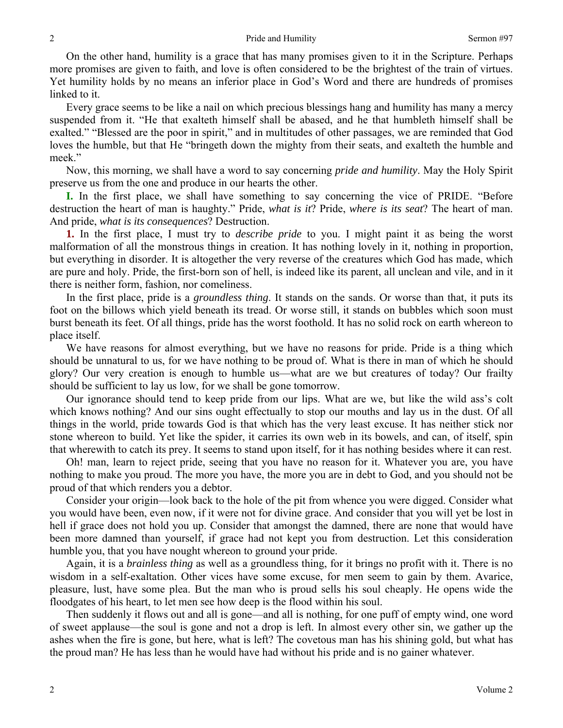On the other hand, humility is a grace that has many promises given to it in the Scripture. Perhaps more promises are given to faith, and love is often considered to be the brightest of the train of virtues. Yet humility holds by no means an inferior place in God's Word and there are hundreds of promises linked to it.

Every grace seems to be like a nail on which precious blessings hang and humility has many a mercy suspended from it. "He that exalteth himself shall be abased, and he that humbleth himself shall be exalted." "Blessed are the poor in spirit," and in multitudes of other passages, we are reminded that God loves the humble, but that He "bringeth down the mighty from their seats, and exalteth the humble and meek."

Now, this morning, we shall have a word to say concerning *pride and humility*. May the Holy Spirit preserve us from the one and produce in our hearts the other.

**I.** In the first place, we shall have something to say concerning the vice of PRIDE. "Before destruction the heart of man is haughty." Pride, *what is it*? Pride, *where is its seat*? The heart of man. And pride, *what is its consequences*? Destruction.

**1.** In the first place, I must try to *describe pride* to you. I might paint it as being the worst malformation of all the monstrous things in creation. It has nothing lovely in it, nothing in proportion, but everything in disorder. It is altogether the very reverse of the creatures which God has made, which are pure and holy. Pride, the first-born son of hell, is indeed like its parent, all unclean and vile, and in it there is neither form, fashion, nor comeliness.

In the first place, pride is a *groundless thing*. It stands on the sands. Or worse than that, it puts its foot on the billows which yield beneath its tread. Or worse still, it stands on bubbles which soon must burst beneath its feet. Of all things, pride has the worst foothold. It has no solid rock on earth whereon to place itself.

We have reasons for almost everything, but we have no reasons for pride. Pride is a thing which should be unnatural to us, for we have nothing to be proud of. What is there in man of which he should glory? Our very creation is enough to humble us—what are we but creatures of today? Our frailty should be sufficient to lay us low, for we shall be gone tomorrow.

Our ignorance should tend to keep pride from our lips. What are we, but like the wild ass's colt which knows nothing? And our sins ought effectually to stop our mouths and lay us in the dust. Of all things in the world, pride towards God is that which has the very least excuse. It has neither stick nor stone whereon to build. Yet like the spider, it carries its own web in its bowels, and can, of itself, spin that wherewith to catch its prey. It seems to stand upon itself, for it has nothing besides where it can rest.

Oh! man, learn to reject pride, seeing that you have no reason for it. Whatever you are, you have nothing to make you proud. The more you have, the more you are in debt to God, and you should not be proud of that which renders you a debtor.

Consider your origin—look back to the hole of the pit from whence you were digged. Consider what you would have been, even now, if it were not for divine grace. And consider that you will yet be lost in hell if grace does not hold you up. Consider that amongst the damned, there are none that would have been more damned than yourself, if grace had not kept you from destruction. Let this consideration humble you, that you have nought whereon to ground your pride.

Again, it is a *brainless thing* as well as a groundless thing, for it brings no profit with it. There is no wisdom in a self-exaltation. Other vices have some excuse, for men seem to gain by them. Avarice, pleasure, lust, have some plea. But the man who is proud sells his soul cheaply. He opens wide the floodgates of his heart, to let men see how deep is the flood within his soul.

Then suddenly it flows out and all is gone—and all is nothing, for one puff of empty wind, one word of sweet applause—the soul is gone and not a drop is left. In almost every other sin, we gather up the ashes when the fire is gone, but here, what is left? The covetous man has his shining gold, but what has the proud man? He has less than he would have had without his pride and is no gainer whatever.

2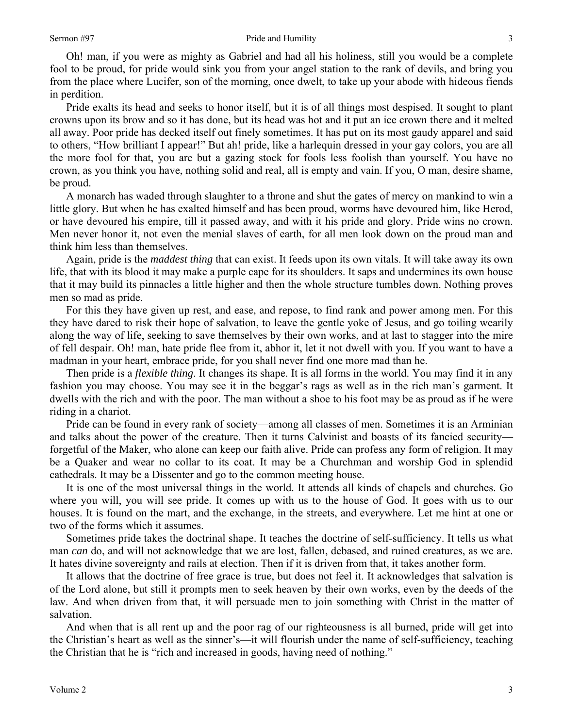Oh! man, if you were as mighty as Gabriel and had all his holiness, still you would be a complete fool to be proud, for pride would sink you from your angel station to the rank of devils, and bring you from the place where Lucifer, son of the morning, once dwelt, to take up your abode with hideous fiends in perdition.

Pride exalts its head and seeks to honor itself, but it is of all things most despised. It sought to plant crowns upon its brow and so it has done, but its head was hot and it put an ice crown there and it melted all away. Poor pride has decked itself out finely sometimes. It has put on its most gaudy apparel and said to others, "How brilliant I appear!" But ah! pride, like a harlequin dressed in your gay colors, you are all the more fool for that, you are but a gazing stock for fools less foolish than yourself. You have no crown, as you think you have, nothing solid and real, all is empty and vain. If you, O man, desire shame, be proud.

A monarch has waded through slaughter to a throne and shut the gates of mercy on mankind to win a little glory. But when he has exalted himself and has been proud, worms have devoured him, like Herod, or have devoured his empire, till it passed away, and with it his pride and glory. Pride wins no crown. Men never honor it, not even the menial slaves of earth, for all men look down on the proud man and think him less than themselves.

Again, pride is the *maddest thing* that can exist. It feeds upon its own vitals. It will take away its own life, that with its blood it may make a purple cape for its shoulders. It saps and undermines its own house that it may build its pinnacles a little higher and then the whole structure tumbles down. Nothing proves men so mad as pride.

For this they have given up rest, and ease, and repose, to find rank and power among men. For this they have dared to risk their hope of salvation, to leave the gentle yoke of Jesus, and go toiling wearily along the way of life, seeking to save themselves by their own works, and at last to stagger into the mire of fell despair. Oh! man, hate pride flee from it, abhor it, let it not dwell with you. If you want to have a madman in your heart, embrace pride, for you shall never find one more mad than he.

Then pride is a *flexible thing*. It changes its shape. It is all forms in the world. You may find it in any fashion you may choose. You may see it in the beggar's rags as well as in the rich man's garment. It dwells with the rich and with the poor. The man without a shoe to his foot may be as proud as if he were riding in a chariot.

Pride can be found in every rank of society—among all classes of men. Sometimes it is an Arminian and talks about the power of the creature. Then it turns Calvinist and boasts of its fancied security forgetful of the Maker, who alone can keep our faith alive. Pride can profess any form of religion. It may be a Quaker and wear no collar to its coat. It may be a Churchman and worship God in splendid cathedrals. It may be a Dissenter and go to the common meeting house.

It is one of the most universal things in the world. It attends all kinds of chapels and churches. Go where you will, you will see pride. It comes up with us to the house of God. It goes with us to our houses. It is found on the mart, and the exchange, in the streets, and everywhere. Let me hint at one or two of the forms which it assumes.

Sometimes pride takes the doctrinal shape. It teaches the doctrine of self-sufficiency. It tells us what man *can* do, and will not acknowledge that we are lost, fallen, debased, and ruined creatures, as we are. It hates divine sovereignty and rails at election. Then if it is driven from that, it takes another form.

It allows that the doctrine of free grace is true, but does not feel it. It acknowledges that salvation is of the Lord alone, but still it prompts men to seek heaven by their own works, even by the deeds of the law. And when driven from that, it will persuade men to join something with Christ in the matter of salvation.

And when that is all rent up and the poor rag of our righteousness is all burned, pride will get into the Christian's heart as well as the sinner's—it will flourish under the name of self-sufficiency, teaching the Christian that he is "rich and increased in goods, having need of nothing."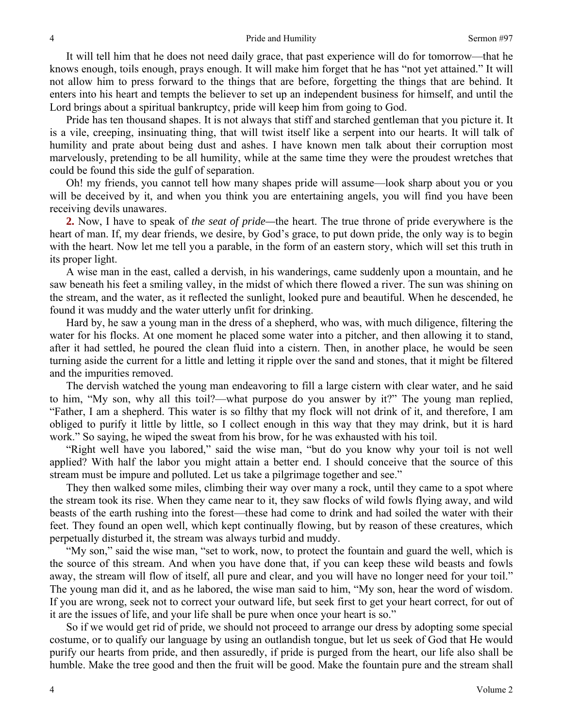It will tell him that he does not need daily grace, that past experience will do for tomorrow—that he knows enough, toils enough, prays enough. It will make him forget that he has "not yet attained." It will not allow him to press forward to the things that are before, forgetting the things that are behind. It enters into his heart and tempts the believer to set up an independent business for himself, and until the Lord brings about a spiritual bankruptcy, pride will keep him from going to God.

Pride has ten thousand shapes. It is not always that stiff and starched gentleman that you picture it. It is a vile, creeping, insinuating thing, that will twist itself like a serpent into our hearts. It will talk of humility and prate about being dust and ashes. I have known men talk about their corruption most marvelously, pretending to be all humility, while at the same time they were the proudest wretches that could be found this side the gulf of separation.

Oh! my friends, you cannot tell how many shapes pride will assume—look sharp about you or you will be deceived by it, and when you think you are entertaining angels, you will find you have been receiving devils unawares.

**2.** Now, I have to speak of *the seat of pride—*the heart. The true throne of pride everywhere is the heart of man. If, my dear friends, we desire, by God's grace, to put down pride, the only way is to begin with the heart. Now let me tell you a parable, in the form of an eastern story, which will set this truth in its proper light.

A wise man in the east, called a dervish, in his wanderings, came suddenly upon a mountain, and he saw beneath his feet a smiling valley, in the midst of which there flowed a river. The sun was shining on the stream, and the water, as it reflected the sunlight, looked pure and beautiful. When he descended, he found it was muddy and the water utterly unfit for drinking.

Hard by, he saw a young man in the dress of a shepherd, who was, with much diligence, filtering the water for his flocks. At one moment he placed some water into a pitcher, and then allowing it to stand, after it had settled, he poured the clean fluid into a cistern. Then, in another place, he would be seen turning aside the current for a little and letting it ripple over the sand and stones, that it might be filtered and the impurities removed.

The dervish watched the young man endeavoring to fill a large cistern with clear water, and he said to him, "My son, why all this toil?—what purpose do you answer by it?" The young man replied, "Father, I am a shepherd. This water is so filthy that my flock will not drink of it, and therefore, I am obliged to purify it little by little, so I collect enough in this way that they may drink, but it is hard work." So saying, he wiped the sweat from his brow, for he was exhausted with his toil.

"Right well have you labored," said the wise man, "but do you know why your toil is not well applied? With half the labor you might attain a better end. I should conceive that the source of this stream must be impure and polluted. Let us take a pilgrimage together and see."

They then walked some miles, climbing their way over many a rock, until they came to a spot where the stream took its rise. When they came near to it, they saw flocks of wild fowls flying away, and wild beasts of the earth rushing into the forest—these had come to drink and had soiled the water with their feet. They found an open well, which kept continually flowing, but by reason of these creatures, which perpetually disturbed it, the stream was always turbid and muddy.

"My son," said the wise man, "set to work, now, to protect the fountain and guard the well, which is the source of this stream. And when you have done that, if you can keep these wild beasts and fowls away, the stream will flow of itself, all pure and clear, and you will have no longer need for your toil." The young man did it, and as he labored, the wise man said to him, "My son, hear the word of wisdom. If you are wrong, seek not to correct your outward life, but seek first to get your heart correct, for out of it are the issues of life, and your life shall be pure when once your heart is so."

So if we would get rid of pride, we should not proceed to arrange our dress by adopting some special costume, or to qualify our language by using an outlandish tongue, but let us seek of God that He would purify our hearts from pride, and then assuredly, if pride is purged from the heart, our life also shall be humble. Make the tree good and then the fruit will be good. Make the fountain pure and the stream shall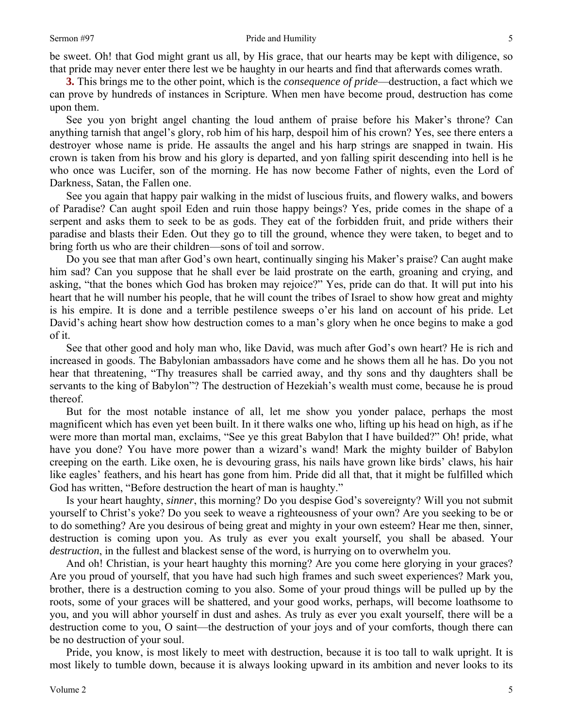be sweet. Oh! that God might grant us all, by His grace, that our hearts may be kept with diligence, so that pride may never enter there lest we be haughty in our hearts and find that afterwards comes wrath.

**3.** This brings me to the other point, which is the *consequence of pride*—destruction, a fact which we can prove by hundreds of instances in Scripture. When men have become proud, destruction has come upon them.

See you yon bright angel chanting the loud anthem of praise before his Maker's throne? Can anything tarnish that angel's glory, rob him of his harp, despoil him of his crown? Yes, see there enters a destroyer whose name is pride. He assaults the angel and his harp strings are snapped in twain. His crown is taken from his brow and his glory is departed, and yon falling spirit descending into hell is he who once was Lucifer, son of the morning. He has now become Father of nights, even the Lord of Darkness, Satan, the Fallen one.

See you again that happy pair walking in the midst of luscious fruits, and flowery walks, and bowers of Paradise? Can aught spoil Eden and ruin those happy beings? Yes, pride comes in the shape of a serpent and asks them to seek to be as gods. They eat of the forbidden fruit, and pride withers their paradise and blasts their Eden. Out they go to till the ground, whence they were taken, to beget and to bring forth us who are their children—sons of toil and sorrow.

Do you see that man after God's own heart, continually singing his Maker's praise? Can aught make him sad? Can you suppose that he shall ever be laid prostrate on the earth, groaning and crying, and asking, "that the bones which God has broken may rejoice?" Yes, pride can do that. It will put into his heart that he will number his people, that he will count the tribes of Israel to show how great and mighty is his empire. It is done and a terrible pestilence sweeps o'er his land on account of his pride. Let David's aching heart show how destruction comes to a man's glory when he once begins to make a god of it.

See that other good and holy man who, like David, was much after God's own heart? He is rich and increased in goods. The Babylonian ambassadors have come and he shows them all he has. Do you not hear that threatening, "Thy treasures shall be carried away, and thy sons and thy daughters shall be servants to the king of Babylon"? The destruction of Hezekiah's wealth must come, because he is proud thereof.

But for the most notable instance of all, let me show you yonder palace, perhaps the most magnificent which has even yet been built. In it there walks one who, lifting up his head on high, as if he were more than mortal man, exclaims, "See ye this great Babylon that I have builded?" Oh! pride, what have you done? You have more power than a wizard's wand! Mark the mighty builder of Babylon creeping on the earth. Like oxen, he is devouring grass, his nails have grown like birds' claws, his hair like eagles' feathers, and his heart has gone from him. Pride did all that, that it might be fulfilled which God has written, "Before destruction the heart of man is haughty."

Is your heart haughty, *sinner*, this morning? Do you despise God's sovereignty? Will you not submit yourself to Christ's yoke? Do you seek to weave a righteousness of your own? Are you seeking to be or to do something? Are you desirous of being great and mighty in your own esteem? Hear me then, sinner, destruction is coming upon you. As truly as ever you exalt yourself, you shall be abased. Your *destruction*, in the fullest and blackest sense of the word, is hurrying on to overwhelm you.

And oh! Christian, is your heart haughty this morning? Are you come here glorying in your graces? Are you proud of yourself, that you have had such high frames and such sweet experiences? Mark you, brother, there is a destruction coming to you also. Some of your proud things will be pulled up by the roots, some of your graces will be shattered, and your good works, perhaps, will become loathsome to you, and you will abhor yourself in dust and ashes. As truly as ever you exalt yourself, there will be a destruction come to you, O saint—the destruction of your joys and of your comforts, though there can be no destruction of your soul.

Pride, you know, is most likely to meet with destruction, because it is too tall to walk upright. It is most likely to tumble down, because it is always looking upward in its ambition and never looks to its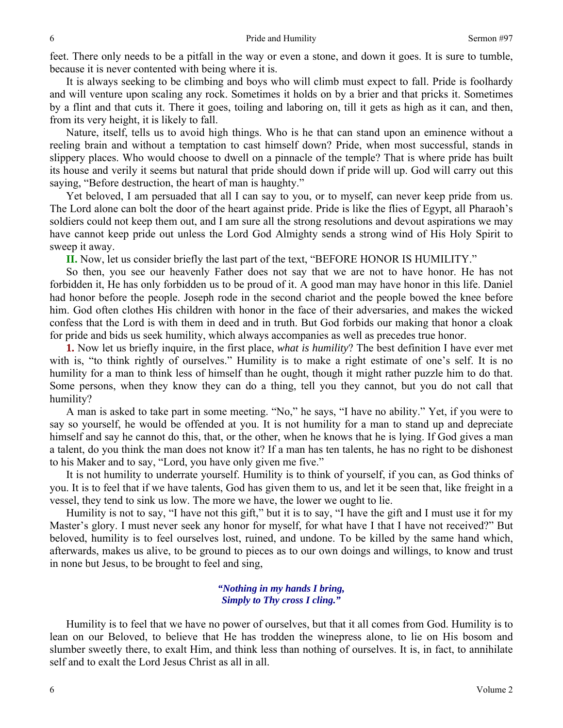feet. There only needs to be a pitfall in the way or even a stone, and down it goes. It is sure to tumble, because it is never contented with being where it is.

It is always seeking to be climbing and boys who will climb must expect to fall. Pride is foolhardy and will venture upon scaling any rock. Sometimes it holds on by a brier and that pricks it. Sometimes by a flint and that cuts it. There it goes, toiling and laboring on, till it gets as high as it can, and then, from its very height, it is likely to fall.

Nature, itself, tells us to avoid high things. Who is he that can stand upon an eminence without a reeling brain and without a temptation to cast himself down? Pride, when most successful, stands in slippery places. Who would choose to dwell on a pinnacle of the temple? That is where pride has built its house and verily it seems but natural that pride should down if pride will up. God will carry out this saying, "Before destruction, the heart of man is haughty."

Yet beloved, I am persuaded that all I can say to you, or to myself, can never keep pride from us. The Lord alone can bolt the door of the heart against pride. Pride is like the flies of Egypt, all Pharaoh's soldiers could not keep them out, and I am sure all the strong resolutions and devout aspirations we may have cannot keep pride out unless the Lord God Almighty sends a strong wind of His Holy Spirit to sweep it away.

**II.** Now, let us consider briefly the last part of the text, "BEFORE HONOR IS HUMILITY."

So then, you see our heavenly Father does not say that we are not to have honor. He has not forbidden it, He has only forbidden us to be proud of it. A good man may have honor in this life. Daniel had honor before the people. Joseph rode in the second chariot and the people bowed the knee before him. God often clothes His children with honor in the face of their adversaries, and makes the wicked confess that the Lord is with them in deed and in truth. But God forbids our making that honor a cloak for pride and bids us seek humility, which always accompanies as well as precedes true honor.

**1.** Now let us briefly inquire, in the first place, *what is humility*? The best definition I have ever met with is, "to think rightly of ourselves." Humility is to make a right estimate of one's self. It is no humility for a man to think less of himself than he ought, though it might rather puzzle him to do that. Some persons, when they know they can do a thing, tell you they cannot, but you do not call that humility?

A man is asked to take part in some meeting. "No," he says, "I have no ability." Yet, if you were to say so yourself, he would be offended at you. It is not humility for a man to stand up and depreciate himself and say he cannot do this, that, or the other, when he knows that he is lying. If God gives a man a talent, do you think the man does not know it? If a man has ten talents, he has no right to be dishonest to his Maker and to say, "Lord, you have only given me five."

It is not humility to underrate yourself. Humility is to think of yourself, if you can, as God thinks of you. It is to feel that if we have talents, God has given them to us, and let it be seen that, like freight in a vessel, they tend to sink us low. The more we have, the lower we ought to lie.

Humility is not to say, "I have not this gift," but it is to say, "I have the gift and I must use it for my Master's glory. I must never seek any honor for myself, for what have I that I have not received?" But beloved, humility is to feel ourselves lost, ruined, and undone. To be killed by the same hand which, afterwards, makes us alive, to be ground to pieces as to our own doings and willings, to know and trust in none but Jesus, to be brought to feel and sing,

#### *"Nothing in my hands I bring, Simply to Thy cross I cling."*

Humility is to feel that we have no power of ourselves, but that it all comes from God. Humility is to lean on our Beloved, to believe that He has trodden the winepress alone, to lie on His bosom and slumber sweetly there, to exalt Him, and think less than nothing of ourselves. It is, in fact, to annihilate self and to exalt the Lord Jesus Christ as all in all.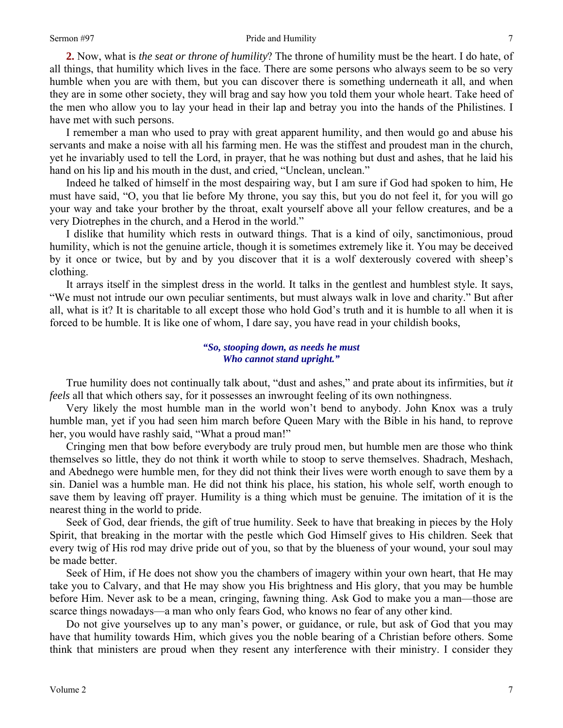#### Sermon #97 Pride and Humility

**2.** Now, what is *the seat or throne of humility*? The throne of humility must be the heart. I do hate, of all things, that humility which lives in the face. There are some persons who always seem to be so very humble when you are with them, but you can discover there is something underneath it all, and when they are in some other society, they will brag and say how you told them your whole heart. Take heed of the men who allow you to lay your head in their lap and betray you into the hands of the Philistines. I have met with such persons.

I remember a man who used to pray with great apparent humility, and then would go and abuse his servants and make a noise with all his farming men. He was the stiffest and proudest man in the church, yet he invariably used to tell the Lord, in prayer, that he was nothing but dust and ashes, that he laid his hand on his lip and his mouth in the dust, and cried, "Unclean, unclean."

Indeed he talked of himself in the most despairing way, but I am sure if God had spoken to him, He must have said, "O, you that lie before My throne, you say this, but you do not feel it, for you will go your way and take your brother by the throat, exalt yourself above all your fellow creatures, and be a very Diotrephes in the church, and a Herod in the world."

I dislike that humility which rests in outward things. That is a kind of oily, sanctimonious, proud humility, which is not the genuine article, though it is sometimes extremely like it. You may be deceived by it once or twice, but by and by you discover that it is a wolf dexterously covered with sheep's clothing.

It arrays itself in the simplest dress in the world. It talks in the gentlest and humblest style. It says, "We must not intrude our own peculiar sentiments, but must always walk in love and charity." But after all, what is it? It is charitable to all except those who hold God's truth and it is humble to all when it is forced to be humble. It is like one of whom, I dare say, you have read in your childish books,

#### *"So, stooping down, as needs he must Who cannot stand upright."*

True humility does not continually talk about, "dust and ashes," and prate about its infirmities, but *it feels* all that which others say, for it possesses an inwrought feeling of its own nothingness.

Very likely the most humble man in the world won't bend to anybody. John Knox was a truly humble man, yet if you had seen him march before Queen Mary with the Bible in his hand, to reprove her, you would have rashly said, "What a proud man!"

Cringing men that bow before everybody are truly proud men, but humble men are those who think themselves so little, they do not think it worth while to stoop to serve themselves. Shadrach, Meshach, and Abednego were humble men, for they did not think their lives were worth enough to save them by a sin. Daniel was a humble man. He did not think his place, his station, his whole self, worth enough to save them by leaving off prayer. Humility is a thing which must be genuine. The imitation of it is the nearest thing in the world to pride.

Seek of God, dear friends, the gift of true humility. Seek to have that breaking in pieces by the Holy Spirit, that breaking in the mortar with the pestle which God Himself gives to His children. Seek that every twig of His rod may drive pride out of you, so that by the blueness of your wound, your soul may be made better.

Seek of Him, if He does not show you the chambers of imagery within your own heart, that He may take you to Calvary, and that He may show you His brightness and His glory, that you may be humble before Him. Never ask to be a mean, cringing, fawning thing. Ask God to make you a man—those are scarce things nowadays—a man who only fears God, who knows no fear of any other kind.

Do not give yourselves up to any man's power, or guidance, or rule, but ask of God that you may have that humility towards Him, which gives you the noble bearing of a Christian before others. Some think that ministers are proud when they resent any interference with their ministry. I consider they

7